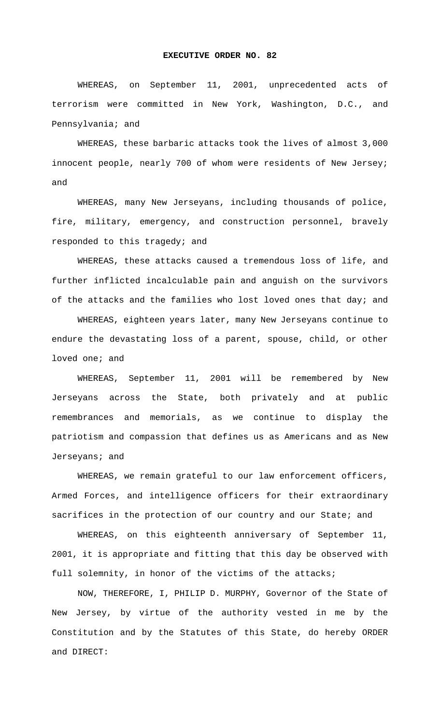## **EXECUTIVE ORDER NO. 82**

WHEREAS, on September 11, 2001, unprecedented acts of terrorism were committed in New York, Washington, D.C., and Pennsylvania; and

WHEREAS, these barbaric attacks took the lives of almost 3,000 innocent people, nearly 700 of whom were residents of New Jersey; and

WHEREAS, many New Jerseyans, including thousands of police, fire, military, emergency, and construction personnel, bravely responded to this tragedy; and

WHEREAS, these attacks caused a tremendous loss of life, and further inflicted incalculable pain and anguish on the survivors of the attacks and the families who lost loved ones that day; and

WHEREAS, eighteen years later, many New Jerseyans continue to endure the devastating loss of a parent, spouse, child, or other loved one; and

WHEREAS, September 11, 2001 will be remembered by New Jerseyans across the State, both privately and at public remembrances and memorials, as we continue to display the patriotism and compassion that defines us as Americans and as New Jerseyans; and

WHEREAS, we remain grateful to our law enforcement officers, Armed Forces, and intelligence officers for their extraordinary sacrifices in the protection of our country and our State; and

WHEREAS, on this eighteenth anniversary of September 11, 2001, it is appropriate and fitting that this day be observed with full solemnity, in honor of the victims of the attacks;

NOW, THEREFORE, I, PHILIP D. MURPHY, Governor of the State of New Jersey, by virtue of the authority vested in me by the Constitution and by the Statutes of this State, do hereby ORDER and DIRECT: